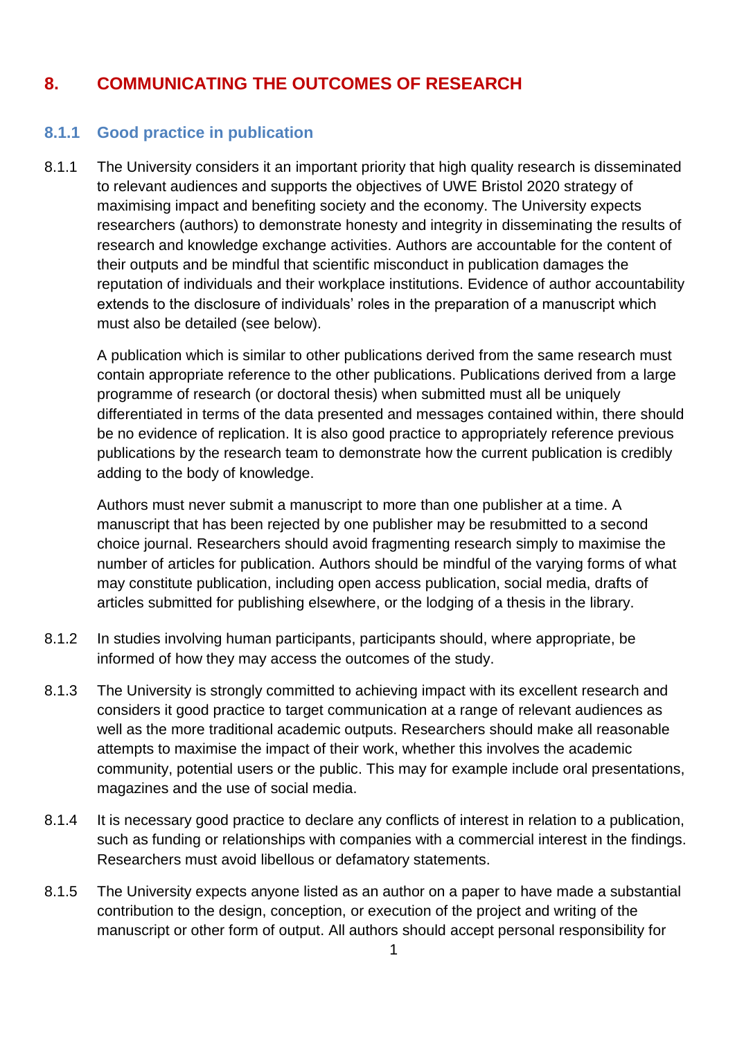## **8. COMMUNICATING THE OUTCOMES OF RESEARCH**

## **8.1.1 Good practice in publication**

8.1.1 The University considers it an important priority that high quality research is disseminated to relevant audiences and supports the objectives of UWE Bristol 2020 strategy of maximising impact and benefiting society and the economy. The University expects researchers (authors) to demonstrate honesty and integrity in disseminating the results of research and knowledge exchange activities. Authors are accountable for the content of their outputs and be mindful that scientific misconduct in publication damages the reputation of individuals and their workplace institutions. Evidence of author accountability extends to the disclosure of individuals' roles in the preparation of a manuscript which must also be detailed (see below).

A publication which is similar to other publications derived from the same research must contain appropriate reference to the other publications. Publications derived from a large programme of research (or doctoral thesis) when submitted must all be uniquely differentiated in terms of the data presented and messages contained within, there should be no evidence of replication. It is also good practice to appropriately reference previous publications by the research team to demonstrate how the current publication is credibly adding to the body of knowledge.

Authors must never submit a manuscript to more than one publisher at a time. A manuscript that has been rejected by one publisher may be resubmitted to a second choice journal. Researchers should avoid fragmenting research simply to maximise the number of articles for publication. Authors should be mindful of the varying forms of what may constitute publication, including open access publication, social media, drafts of articles submitted for publishing elsewhere, or the lodging of a thesis in the library.

- 8.1.2 In studies involving human participants, participants should, where appropriate, be informed of how they may access the outcomes of the study.
- 8.1.3 The University is strongly committed to achieving impact with its excellent research and considers it good practice to target communication at a range of relevant audiences as well as the more traditional academic outputs. Researchers should make all reasonable attempts to maximise the impact of their work, whether this involves the academic community, potential users or the public. This may for example include oral presentations, magazines and the use of social media.
- 8.1.4 It is necessary good practice to declare any conflicts of interest in relation to a publication, such as funding or relationships with companies with a commercial interest in the findings. Researchers must avoid libellous or defamatory statements.
- 8.1.5 The University expects anyone listed as an author on a paper to have made a substantial contribution to the design, conception, or execution of the project and writing of the manuscript or other form of output. All authors should accept personal responsibility for